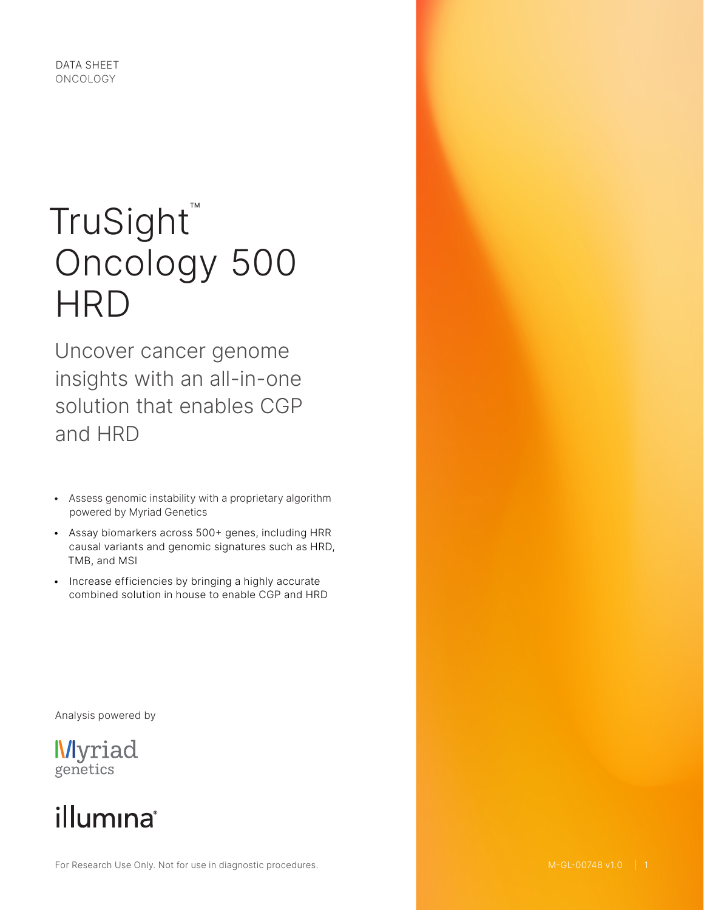

# TruSight™ Oncology 500 **HRD**

Uncover cancer genome insights with an all-in-one solution that enables CGP and HRD

- Assess genomic instability with a proprietary algorithm powered by Myriad Genetics
- Assay biomarkers across 500+ genes, including HRR causal variants and genomic signatures such as HRD, TMB, and MSI
- Increase efficiencies by bringing a highly accurate combined solution in house to enable CGP and HRD

Analysis powered by

**Myriad** genetics

## illumina®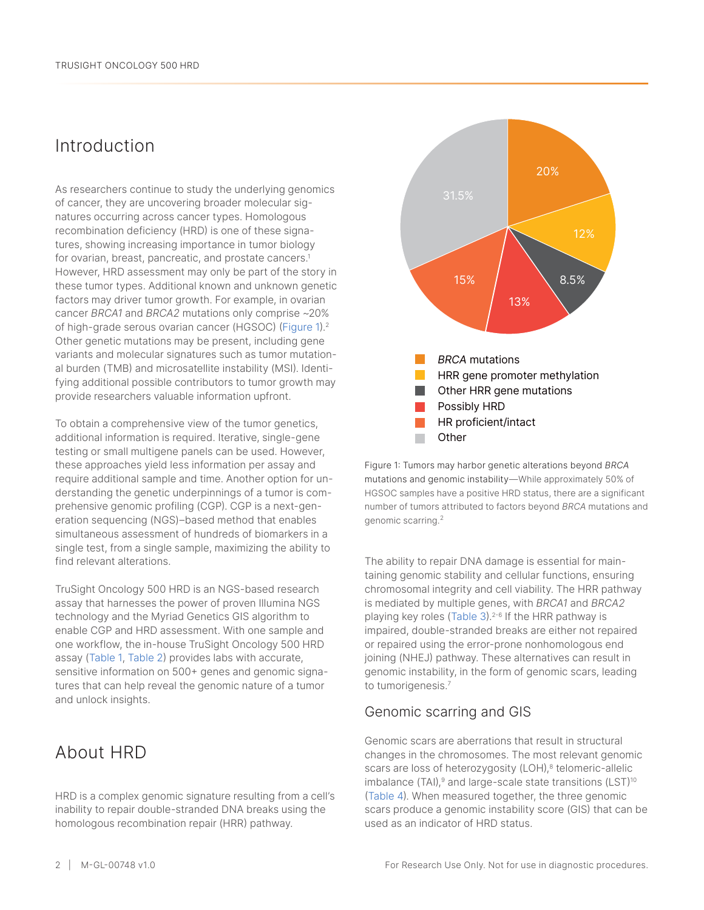## Introduction

As researchers continue to study the underlying genomics of cancer, they are uncovering broader molecular signatures occurring across cancer types. Homologous recombination deficiency (HRD) is one of these signatures, showing increasing importance in tumor biology for ovarian, breast, pancreatic, and prostate cancers.<sup>[1](#page-7-0)</sup> However, HRD assessment may only be part of the story in these tumor types. Additional known and unknown genetic factors may driver tumor growth. For example, in ovarian cancer *BRCA1* and *BRCA2* mutations only comprise ~20% of high-grade serous ovarian cancer (HGSOC) ([Figure 1](#page-1-0)).[2](#page-7-1) Other genetic mutations may be present, including gene variants and molecular signatures such as tumor mutational burden (TMB) and microsatellite instability (MSI). Identifying additional possible contributors to tumor growth may provide researchers valuable information upfront.

To obtain a comprehensive view of the tumor genetics, additional information is required. Iterative, single-gene testing or small multigene panels can be used. However, these approaches yield less information per assay and require additional sample and time. Another option for understanding the genetic underpinnings of a tumor is comprehensive genomic profiling (CGP). CGP is a next-generation sequencing (NGS)–based method that enables simultaneous assessment of hundreds of biomarkers in a single test, from a single sample, maximizing the ability to find relevant alterations.

TruSight Oncology 500 HRD is an NGS-based research assay that harnesses the power of proven Illumina NGS technology and the Myriad Genetics GIS algorithm to enable CGP and HRD assessment. With one sample and one workflow, the in-house TruSight Oncology 500 HRD assay ([Table 1](#page-2-0), [Table](#page-2-1) 2) provides labs with accurate, sensitive information on 500+ genes and genomic signatures that can help reveal the genomic nature of a tumor and unlock insights.

## About HRD

HRD is a complex genomic signature resulting from a cell's inability to repair double-stranded DNA breaks using the homologous recombination repair (HRR) pathway.



<span id="page-1-0"></span>Figure 1: Tumors may harbor genetic alterations beyond *BRCA* mutations and genomic instability—While approximately 50% of HGSOC samples have a positive HRD status, there are a significant number of tumors attributed to factors beyond *BRCA* mutations and genomic scarring.[2](#page-7-1)

The ability to repair DNA damage is essential for maintaining genomic stability and cellular functions, ensuring chromosomal integrity and cell viability. The HRR pathway is mediated by multiple genes, with *BRCA1* and *BRCA2* playing key roles ([Table 3](#page-3-0)).<sup>[2](#page-7-1)-[6](#page-7-2)</sup> If the HRR pathway is impaired, double-stranded breaks are either not repaired or repaired using the error-prone nonhomologous end joining (NHEJ) pathway. These alternatives can result in genomic instability, in the form of genomic scars, leading to tumorigenesis.<sup>7</sup>

#### Genomic scarring and GIS

Genomic scars are aberrations that result in structural changes in the chromosomes. The most relevant genomic scars are loss of heterozygosity (LOH),<sup>8</sup> telomeric-allelic imbalance  $(TAI)$ ,<sup>[9](#page-8-2)</sup> and large-scale state transitions  $(LST)$ <sup>[10](#page-8-3)</sup> [\(Table](#page-3-1) 4). When measured together, the three genomic scars produce a genomic instability score (GIS) that can be used as an indicator of HRD status.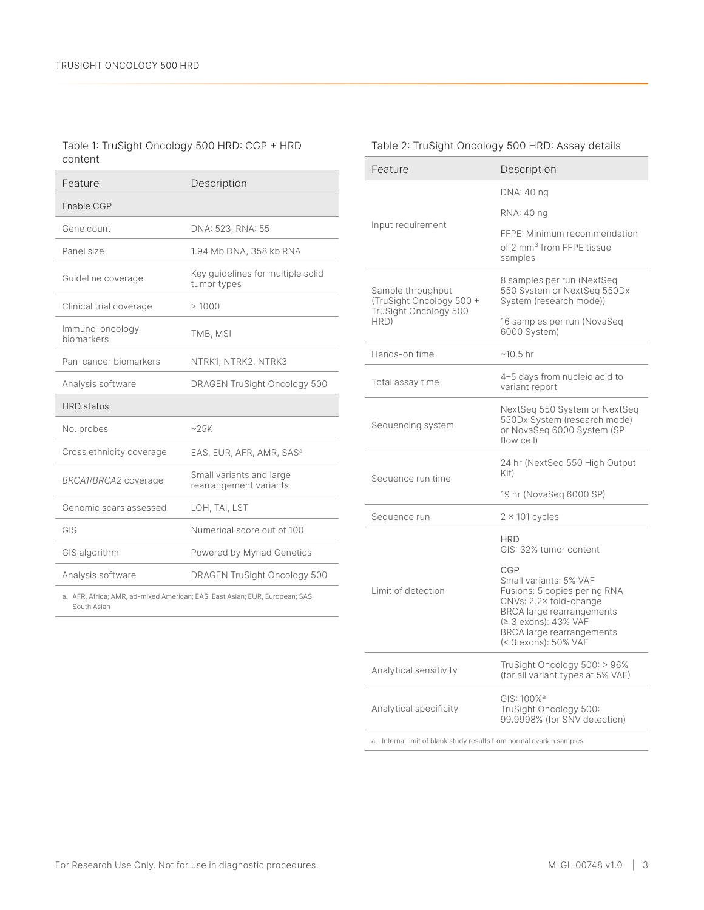#### <span id="page-2-0"></span>Table 1: TruSight Oncology 500 HRD: CGP + HRD content

| Feature                                                                                     | Description                                        |  |
|---------------------------------------------------------------------------------------------|----------------------------------------------------|--|
| Enable CGP                                                                                  |                                                    |  |
| Gene count                                                                                  | DNA: 523, RNA: 55                                  |  |
| Panel size                                                                                  | 1.94 Mb DNA, 358 kb RNA                            |  |
| Guideline coverage                                                                          | Key guidelines for multiple solid<br>tumor types   |  |
| Clinical trial coverage                                                                     | >1000                                              |  |
| Immuno-oncology<br>biomarkers                                                               | TMB, MSI                                           |  |
| Pan-cancer biomarkers                                                                       | NTRK1, NTRK2, NTRK3                                |  |
| Analysis software                                                                           | DRAGEN TruSight Oncology 500                       |  |
| HRD status                                                                                  |                                                    |  |
| No. probes                                                                                  | ~25K                                               |  |
| Cross ethnicity coverage                                                                    | EAS, EUR, AFR, AMR, SAS <sup>a</sup>               |  |
| BRCA1/BRCA2 coverage                                                                        | Small variants and large<br>rearrangement variants |  |
| Genomic scars assessed                                                                      | LOH, TAI, LST                                      |  |
| GIS                                                                                         | Numerical score out of 100                         |  |
| GIS algorithm                                                                               | Powered by Myriad Genetics                         |  |
| Analysis software                                                                           | DRAGEN TruSight Oncology 500                       |  |
| a. AFR, Africa; AMR, ad-mixed American; EAS, East Asian; EUR, European; SAS,<br>South Asian |                                                    |  |

#### <span id="page-2-1"></span>Table 2: TruSight Oncology 500 HRD: Assay details

| Feature                                                                | Description                                                                                                                                                                                                     |  |
|------------------------------------------------------------------------|-----------------------------------------------------------------------------------------------------------------------------------------------------------------------------------------------------------------|--|
|                                                                        | DNA: 40 ng                                                                                                                                                                                                      |  |
|                                                                        | RNA: 40 ng                                                                                                                                                                                                      |  |
| Input requirement                                                      | FFPE: Minimum recommendation<br>of 2 mm <sup>3</sup> from FFPE tissue<br>samples                                                                                                                                |  |
| Sample throughput<br>(TruSight Oncology 500 +<br>TruSight Oncology 500 | 8 samples per run (NextSeq<br>550 System or NextSeq 550Dx<br>System (research mode))                                                                                                                            |  |
| HRD)                                                                   | 16 samples per run (NovaSeq<br>6000 System)                                                                                                                                                                     |  |
| Hands-on time                                                          | $~10.5 \text{ hr}$                                                                                                                                                                                              |  |
| Total assay time                                                       | 4-5 days from nucleic acid to<br>variant report                                                                                                                                                                 |  |
| Sequencing system                                                      | NextSeq 550 System or NextSeq<br>550Dx System (research mode)<br>or NovaSeq 6000 System (SP<br>flow cell)                                                                                                       |  |
| Sequence run time                                                      | 24 hr (NextSeq 550 High Output<br>Kit)                                                                                                                                                                          |  |
|                                                                        | 19 hr (NovaSeq 6000 SP)                                                                                                                                                                                         |  |
| Sequence run                                                           | $2 \times 101$ cycles                                                                                                                                                                                           |  |
|                                                                        | <b>HRD</b><br>GIS: 32% tumor content                                                                                                                                                                            |  |
| Limit of detection                                                     | CGP<br>Small variants: 5% VAF<br>Fusions: 5 copies per ng RNA<br>CNVs: 2.2× fold-change<br><b>BRCA</b> large rearrangements<br>(≥ 3 exons): 43% VAF<br><b>BRCA</b> large rearrangements<br>(< 3 exons): 50% VAF |  |
| Analytical sensitivity                                                 | TruSight Oncology 500: > 96%<br>(for all variant types at 5% VAF)                                                                                                                                               |  |
| Analytical specificity                                                 | GIS: 100% <sup>a</sup><br>TruSight Oncology 500:<br>99.9998% (for SNV detection)                                                                                                                                |  |

<span id="page-2-2"></span>a. Internal limit of blank study results from normal ovarian samples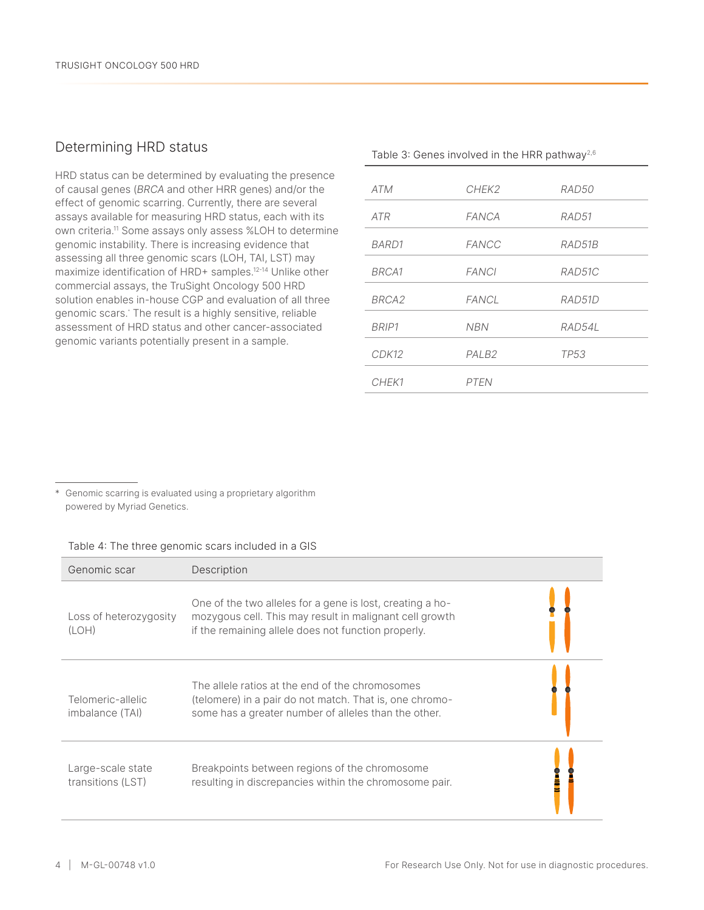#### Determining HRD status

HRD status can be determined by evaluating the presence of causal genes (*BRCA* and other HRR genes) and/or the effect of genomic scarring. Currently, there are several assays available for measuring HRD status, each with its own criteria.[1](#page-8-4)1 Some assays only assess %LOH to determine genomic instability. There is increasing evidence that assessing all three genomic scars (LOH, TAI, LST) may maximize identification of HRD+ samples.[1](#page-8-5)2-[1](#page-8-6)<sup>4</sup> Unlike other commercial assays, the TruSight Oncology 500 HRD solution enables in-house CGP and evaluation of all three genomic scars.\* The result is a highly sensitive, reliable assessment of HRD status and other cancer-associated genomic variants potentially present in a sample.

<span id="page-3-0"></span>

| Table 3: Genes involved in the HRR pathway <sup>2,6</sup> |                   |        |  |
|-----------------------------------------------------------|-------------------|--------|--|
| <b>ATM</b>                                                | CHEK2             | RAD50  |  |
| <b>ATR</b>                                                | <b>FANCA</b>      | RAD51  |  |
| BARD1                                                     | FANCC             | RAD51B |  |
| BRCA1                                                     | <b>FANCI</b>      | RAD51C |  |
| BRCA <sub>2</sub>                                         | <b>FANCL</b>      | RAD51D |  |
| BRIP1                                                     | <b>NBN</b>        | RAD54L |  |
| CDK12                                                     | PALB <sub>2</sub> | TP53   |  |
| CHEK1                                                     | <b>PTFN</b>       |        |  |

\* Genomic scarring is evaluated using a proprietary algorithm powered by Myriad Genetics.

<span id="page-3-1"></span>

| Table 4: The three genomic scars included in a GIS |  |  |  |
|----------------------------------------------------|--|--|--|
|                                                    |  |  |  |

| Genomic scar                           | Description                                                                                                                                                                 |
|----------------------------------------|-----------------------------------------------------------------------------------------------------------------------------------------------------------------------------|
| Loss of heterozygosity<br>(LOH)        | One of the two alleles for a gene is lost, creating a ho-<br>mozygous cell. This may result in malignant cell growth<br>if the remaining allele does not function properly. |
| Telomeric-allelic<br>imbalance (TAI)   | The allele ratios at the end of the chromosomes<br>(telomere) in a pair do not match. That is, one chromo-<br>some has a greater number of alleles than the other.          |
| Large-scale state<br>transitions (LST) | Breakpoints between regions of the chromosome<br>resulting in discrepancies within the chromosome pair.                                                                     |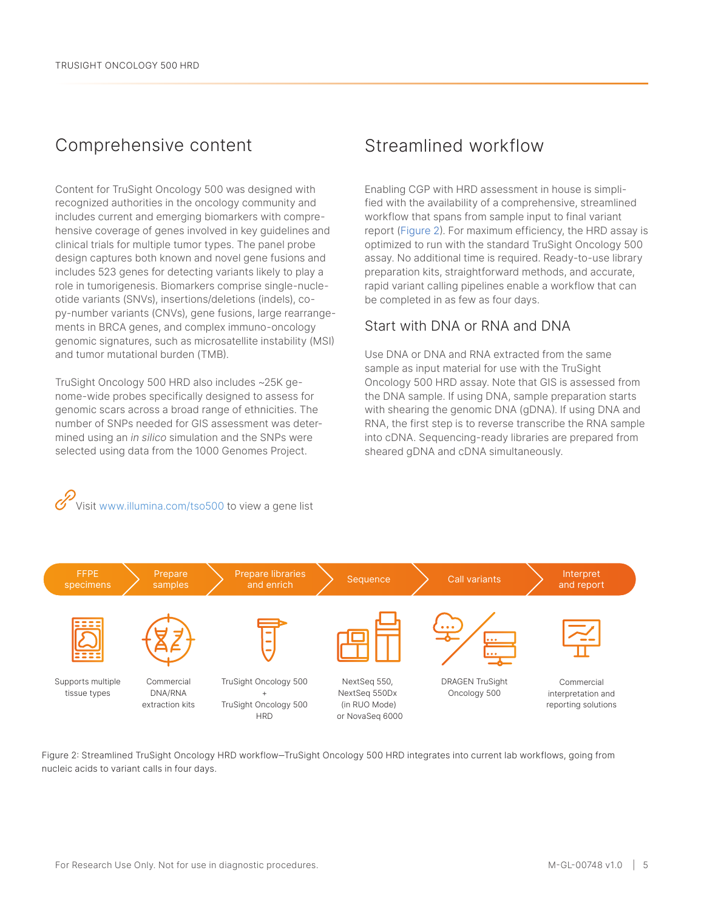### Comprehensive content

Content for TruSight Oncology 500 was designed with recognized authorities in the oncology community and includes current and emerging biomarkers with comprehensive coverage of genes involved in key guidelines and clinical trials for multiple tumor types. The panel probe design captures both known and novel gene fusions and includes 523 genes for detecting variants likely to play a role in tumorigenesis. Biomarkers comprise single-nucleotide variants (SNVs), insertions/deletions (indels), copy-number variants (CNVs), gene fusions, large rearrangements in BRCA genes, and complex immuno-oncology genomic signatures, such as microsatellite instability (MSI) and tumor mutational burden (TMB).

TruSight Oncology 500 HRD also includes ~25K genome-wide probes specifically designed to assess for genomic scars across a broad range of ethnicities. The number of SNPs needed for GIS assessment was determined using an *in silico* simulation and the SNPs were selected using data from the 1000 Genomes Project.

Visit www.illumina.com/tso500 to view a gene list

### Streamlined workflow

Enabling CGP with HRD assessment in house is simplified with the availability of a comprehensive, streamlined workflow that spans from sample input to final variant report ([Figure 2](#page-4-0)). For maximum efficiency, the HRD assay is optimized to run with the standard TruSight Oncology 500 assay. No additional time is required. Ready-to-use library preparation kits, straightforward methods, and accurate, rapid variant calling pipelines enable a workflow that can be completed in as few as four days.

#### Start with DNA or RNA and DNA

Use DNA or DNA and RNA extracted from the same sample as input material for use with the TruSight Oncology 500 HRD assay. Note that GIS is assessed from the DNA sample. If using DNA, sample preparation starts with shearing the genomic DNA (gDNA). If using DNA and RNA, the first step is to reverse transcribe the RNA sample into cDNA. Sequencing-ready libraries are prepared from sheared gDNA and cDNA simultaneously.



<span id="page-4-0"></span>Figure 2: Streamlined TruSight Oncology HRD workflow‒TruSight Oncology 500 HRD integrates into current lab workflows, going from nucleic acids to variant calls in four days.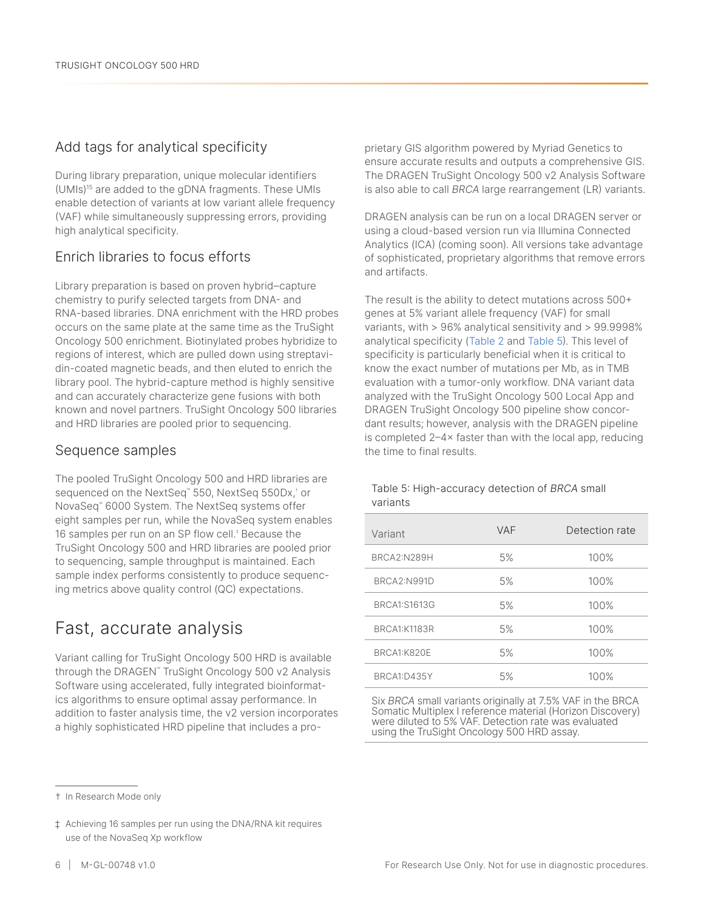#### Add tags for analytical specificity

During library preparation, unique molecular identifiers (UMIs)[1](#page-8-7)5 are added to the gDNA fragments. These UMIs enable detection of variants at low variant allele frequency (VAF) while simultaneously suppressing errors, providing high analytical specificity.

#### Enrich libraries to focus efforts

Library preparation is based on proven hybrid–capture chemistry to purify selected targets from DNA- and RNA-based libraries. DNA enrichment with the HRD probes occurs on the same plate at the same time as the TruSight Oncology 500 enrichment. Biotinylated probes hybridize to regions of interest, which are pulled down using streptavidin-coated magnetic beads, and then eluted to enrich the library pool. The hybrid-capture method is highly sensitive and can accurately characterize gene fusions with both known and novel partners. TruSight Oncology 500 libraries and HRD libraries are pooled prior to sequencing.

#### Sequence samples

The pooled TruSight Oncology 500 and HRD libraries are sequenced on the NextSeq™ 550, NextSeq 550Dx,† or NovaSeq™ 6000 System. The NextSeq systems offer eight samples per run, while the NovaSeq system enables 16 samples per run on an SP flow cell.‡ Because the TruSight Oncology 500 and HRD libraries are pooled prior to sequencing, sample throughput is maintained. Each sample index performs consistently to produce sequencing metrics above quality control (QC) expectations.

## Fast, accurate analysis

Variant calling for TruSight Oncology 500 HRD is available through the DRAGEN™ TruSight Oncology 500 v2 Analysis Software using accelerated, fully integrated bioinformatics algorithms to ensure optimal assay performance. In addition to faster analysis time, the v2 version incorporates a highly sophisticated HRD pipeline that includes a pro-

prietary GIS algorithm powered by Myriad Genetics to ensure accurate results and outputs a comprehensive GIS. The DRAGEN TruSight Oncology 500 v2 Analysis Software is also able to call *BRCA* large rearrangement (LR) variants.

DRAGEN analysis can be run on a local DRAGEN server or using a cloud-based version run via Illumina Connected Analytics (ICA) (coming soon). All versions take advantage of sophisticated, proprietary algorithms that remove errors and artifacts.

The result is the ability to detect mutations across 500+ genes at 5% variant allele frequency (VAF) for small variants, with > 96% analytical sensitivity and > 99.9998% analytical specificity ([Table 2](#page-2-1) and [Table](#page-5-0) 5). This level of specificity is particularly beneficial when it is critical to know the exact number of mutations per Mb, as in TMB evaluation with a tumor-only workflow. DNA variant data analyzed with the TruSight Oncology 500 Local App and DRAGEN TruSight Oncology 500 pipeline show concordant results; however, analysis with the DRAGEN pipeline is completed 2–4× faster than with the local app, reducing the time to final results.

#### <span id="page-5-0"></span>Table 5: High-accuracy detection of *BRCA* small variants

| Variant             | <b>VAF</b> | Detection rate |
|---------------------|------------|----------------|
| BRCA2:N289H         | 5%         | 100%           |
| BRCA2:N991D         | 5%         | 100%           |
| BRCA1:S1613G        | 5%         | 100%           |
| <b>BRCA1:K1183R</b> | 5%         | 100%           |
| BRCA1:K820E         | 5%         | 100%           |
| BRCA1:D435Y         | 5%         | 100%           |

Six *BRCA* small variants originally at 7.5% VAF in the BRCA Somatic Multiplex I reference material (Horizon Discovery) were diluted to 5% VAF. Detection rate was evaluated using the TruSight Oncology 500 HRD assay.

<sup>†</sup> In Research Mode only

<sup>‡</sup> Achieving 16 samples per run using the DNA/RNA kit requires use of the NovaSeq Xp workflow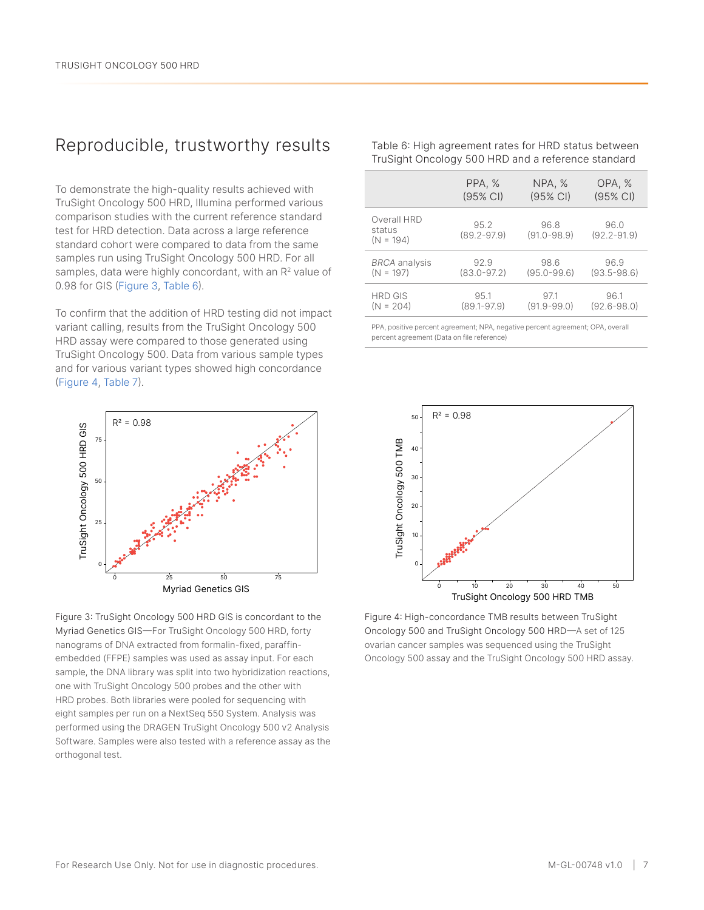## Reproducible, trustworthy results

To demonstrate the high-quality results achieved with TruSight Oncology 500 HRD, Illumina performed various comparison studies with the current reference standard test for HRD detection. Data across a large reference standard cohort were compared to data from the same samples run using TruSight Oncology 500 HRD. For all samples, data were highly concordant, with an  $R<sup>2</sup>$  value of 0.98 for GIS ([Figure 3](#page-6-0), [Table 6](#page-6-1)).

To confirm that the addition of HRD testing did not impact variant calling, results from the TruSight Oncology 500 HRD assay were compared to those generated using TruSight Oncology 500. Data from various sample types and for various variant types showed high concordance [\(Figure 4](#page-6-2), [Table](#page-7-3) 7).



<span id="page-6-0"></span>Figure 3: TruSight Oncology 500 HRD GIS is concordant to the Myriad Genetics GIS—For TruSight Oncology 500 HRD, forty nanograms of DNA extracted from formalin-fixed, paraffinembedded (FFPE) samples was used as assay input. For each sample, the DNA library was split into two hybridization reactions, one with TruSight Oncology 500 probes and the other with HRD probes. Both libraries were pooled for sequencing with eight samples per run on a NextSeq 550 System. Analysis was performed using the DRAGEN TruSight Oncology 500 v2 Analysis Software. Samples were also tested with a reference assay as the orthogonal test.

<span id="page-6-1"></span>

| Table 6: High agreement rates for HRD status between |
|------------------------------------------------------|
| TruSight Oncology 500 HRD and a reference standard   |
|                                                      |

|                                      | PPA, %                  | NPA, %                  | OPA, %                  |
|--------------------------------------|-------------------------|-------------------------|-------------------------|
|                                      | (95% CI)                | (95% CI)                | $(95% \text{ Cl})$      |
| Overall HRD<br>status<br>$(N = 194)$ | 95.2<br>$(89.2 - 97.9)$ | 96.8<br>$(91.0 - 98.9)$ | 96.0<br>$(92.2 - 91.9)$ |
| <b>BRCA</b> analysis                 | 92.9                    | 98.6                    | 96.9                    |
| $(N = 197)$                          | $(83.0 - 97.2)$         | $(95.0 - 99.6)$         | $(93.5 - 98.6)$         |
| <b>HRD GIS</b>                       | 95.1                    | 97.1                    | 96.1                    |
| $(N = 204)$                          | $(89.1 - 97.9)$         | $(91.9 - 99.0)$         | $(92.6 - 98.0)$         |

PPA, positive percent agreement; NPA, negative percent agreement; OPA, overall percent agreement (Data on file reference)



<span id="page-6-2"></span>Figure 4: High-concordance TMB results between TruSight Oncology 500 and TruSight Oncology 500 HRD—A set of 125 ovarian cancer samples was sequenced using the TruSight Oncology 500 assay and the TruSight Oncology 500 HRD assay.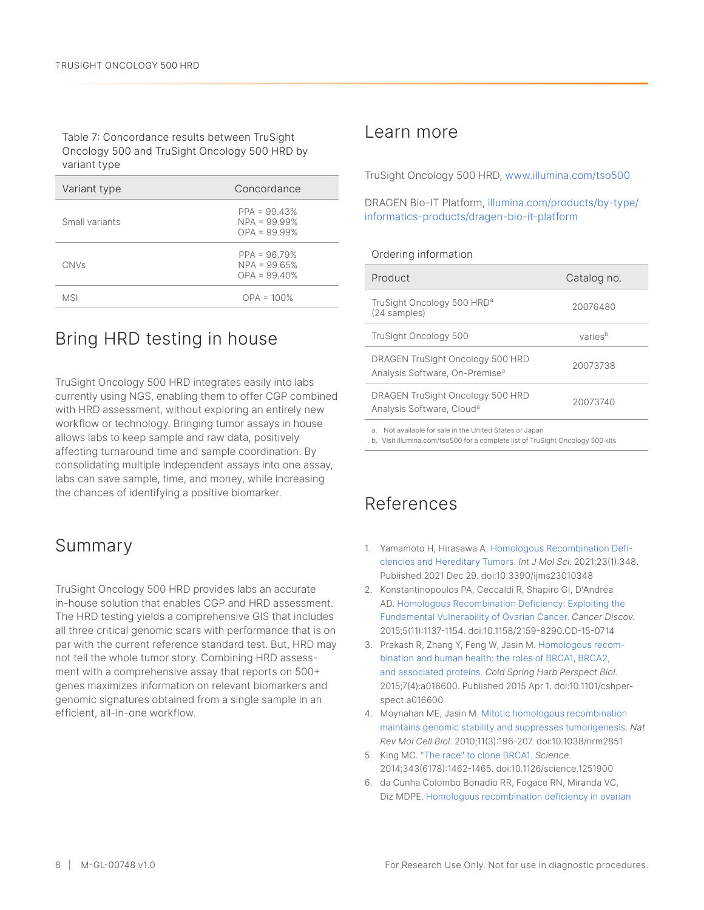<span id="page-7-3"></span>Table 7: Concordance results between TruSight Oncology 500 and TruSight Oncology 500 HRD by variant type

| Variant type   | Concordance                                        |  |
|----------------|----------------------------------------------------|--|
| Small variants | $PPA = 99.43%$<br>$NPA = 99.99%$<br>$OPA = 99.99%$ |  |
| <b>CNVs</b>    | $PPA = 96.79%$<br>$NPA = 99.65%$<br>$OPA = 99,40%$ |  |
| MSI            | $OPA = 100%$                                       |  |

## Bring HRD testing in house

TruSight Oncology 500 HRD integrates easily into labs currently using NGS, enabling them to offer CGP combined with HRD assessment, without exploring an entirely new workflow or technology. Bringing tumor assays in house allows labs to keep sample and raw data, positively affecting turnaround time and sample coordination. By consolidating multiple independent assays into one assay, labs can save sample, time, and money, while increasing the chances of identifying a positive biomarker.

## Summary

TruSight Oncology 500 HRD provides labs an accurate in-house solution that enables CGP and HRD assessment. The HRD testing yields a comprehensive GIS that includes all three critical genomic scars with performance that is on par with the current reference standard test. But, HRD may not tell the whole tumor story. Combining HRD assessment with a comprehensive assay that reports on 500+ genes maximizes information on relevant biomarkers and genomic signatures obtained from a single sample in an efficient, all-in-one workflow.

#### Learn more

TruSight Oncology 500 HRD, [www.illumina.com/tso500](https://www.illumina.com/products/by-brand/trusight-oncology/tso-500-portfolio.html?scid=2018-271doco175)

#### DRAGEN Bio-IT Platform, [illumina.com/products/by-type/](https://www.illumina.com/products/by-type/informatics-products/dragen-bio-it-platform.html) [informatics-products/dragen-bio-it-platform](https://www.illumina.com/products/by-type/informatics-products/dragen-bio-it-platform.html)

#### Ordering information

| Product                                                                        | Catalog no.         |
|--------------------------------------------------------------------------------|---------------------|
| TruSight Oncology 500 HRD <sup>a</sup><br>(24 samples)                         | 20076480            |
| TruSight Oncology 500                                                          | varies <sup>b</sup> |
| DRAGEN TruSight Oncology 500 HRD<br>Analysis Software, On-Premise <sup>a</sup> | 20073738            |
| DRAGEN TruSight Oncology 500 HRD<br>Analysis Software, Cloud <sup>a</sup>      | 20073740            |
| Not available for sale in the United States or Japan<br>a.                     |                     |

<span id="page-7-5"></span><span id="page-7-4"></span>b. Visit illumina.com/tso500 for a complete list of TruSight Oncology 500 kits

## References

- <span id="page-7-0"></span>1. Yamamoto H, Hirasawa A. [Homologous Recombination Defi](https://www.ncbi.nlm.nih.gov/pmc/articles/PMC8745585/)[ciencies and Hereditary Tumors](https://www.ncbi.nlm.nih.gov/pmc/articles/PMC8745585/). *Int J Mol Sci*. 2021;23(1):348. Published 2021 Dec 29. doi:10.3390/ijms23010348
- <span id="page-7-1"></span>2. Konstantinopoulos PA, Ceccaldi R, Shapiro GI, D'Andrea AD. [Homologous Recombination Deficiency: Exploiting the](https://pubmed.ncbi.nlm.nih.gov/26463832/)  [Fundamental Vulnerability of Ovarian Cancer](https://pubmed.ncbi.nlm.nih.gov/26463832/). *Cancer Discov*. 2015;5(11):1137-1154. doi:10.1158/2159-8290.CD-15-0714
- 3. Prakash R, Zhang Y, Feng W, Jasin M. [Homologous recom](https://pubmed.ncbi.nlm.nih.gov/25833843/)[bination and human health: the roles of BRCA1, BRCA2,](https://pubmed.ncbi.nlm.nih.gov/25833843/)  [and associated proteins](https://pubmed.ncbi.nlm.nih.gov/25833843/). *Cold Spring Harb Perspect Biol*. 2015;7(4):a016600. Published 2015 Apr 1. doi:10.1101/cshperspect.a016600
- 4. Moynahan ME, Jasin M. [Mitotic homologous recombination](https://pubmed.ncbi.nlm.nih.gov/20177395/)  [maintains genomic stability and suppresses tumorigenesis](https://pubmed.ncbi.nlm.nih.gov/20177395/). *Nat Rev Mol Cell Biol*. 2010;11(3):196-207. doi:10.1038/nrm2851
- 5. King MC. ["The race" to clone BRCA1](https://pubmed.ncbi.nlm.nih.gov/24675952/#:~:text=The%20existence%20of%20BRCA1%20was,to%20clone%20and%20sequence%20it.). *Science*. 2014;343(6178):1462-1465. doi:10.1126/science.1251900
- <span id="page-7-2"></span>6. da Cunha Colombo Bonadio RR, Fogace RN, Miranda VC, Diz MDPE. [Homologous recombination deficiency in ovarian](https://pubmed.ncbi.nlm.nih.gov/30133561/)